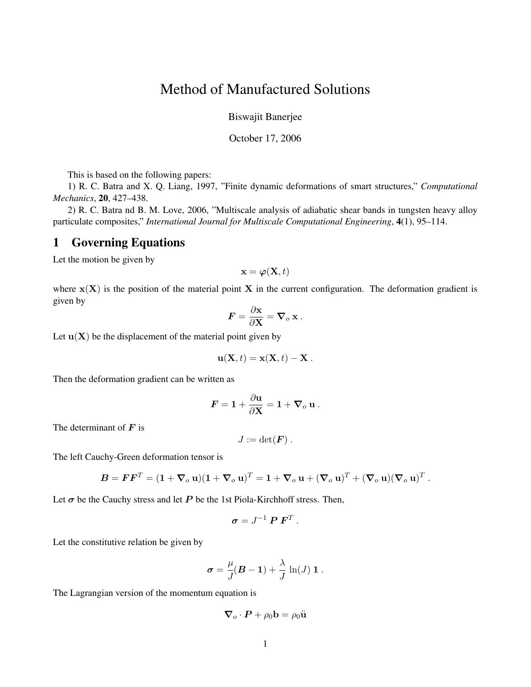## Method of Manufactured Solutions

Biswajit Banerjee

October 17, 2006

This is based on the following papers:

1) R. C. Batra and X. Q. Liang, 1997, "Finite dynamic deformations of smart structures," *Computational Mechanics*, 20, 427–438.

2) R. C. Batra nd B. M. Love, 2006, "Multiscale analysis of adiabatic shear bands in tungsten heavy alloy particulate composites," *International Journal for Multiscale Computational Engineering*, 4(1), 95–114.

## 1 Governing Equations

Let the motion be given by

$$
\mathbf{x} = \boldsymbol{\varphi}(\mathbf{X},t)
$$

where  $\mathbf{x}(\mathbf{X})$  is the position of the material point X in the current configuration. The deformation gradient is given by

$$
\boldsymbol{F} = \frac{\partial \mathbf{x}}{\partial \mathbf{X}} = \boldsymbol{\nabla}_o \mathbf{x} .
$$

Let  $\mathbf{u}(\mathbf{X})$  be the displacement of the material point given by

$$
\mathbf{u}(\mathbf{X},t) = \mathbf{x}(\mathbf{X},t) - \mathbf{X}.
$$

Then the deformation gradient can be written as

$$
\boldsymbol{F} = \boldsymbol{1} + \frac{\partial \mathbf{u}}{\partial \mathbf{X}} = \boldsymbol{1} + \boldsymbol{\nabla}_o\ \mathbf{u} \ .
$$

The determinant of  $\boldsymbol{F}$  is

$$
J:=\det(\boldsymbol{F})\ .
$$

The left Cauchy-Green deformation tensor is

$$
\boldsymbol{B} = \boldsymbol{F}\boldsymbol{F}^T = (1 + \boldsymbol{\nabla}_o \mathbf{u})(1 + \boldsymbol{\nabla}_o \mathbf{u})^T = 1 + \boldsymbol{\nabla}_o \mathbf{u} + (\boldsymbol{\nabla}_o \mathbf{u})^T + (\boldsymbol{\nabla}_o \mathbf{u})(\boldsymbol{\nabla}_o \mathbf{u})^T.
$$

Let  $\sigma$  be the Cauchy stress and let P be the 1st Piola-Kirchhoff stress. Then,

$$
\boldsymbol{\sigma} = J^{-1} \boldsymbol{P} \boldsymbol{F}^T.
$$

Let the constitutive relation be given by

$$
\boldsymbol{\sigma} = \frac{\mu}{J}(\boldsymbol{B} - \mathbf{1}) + \frac{\lambda}{J} \ln(J) \mathbf{1}.
$$

The Lagrangian version of the momentum equation is

$$
\boldsymbol{\nabla}_o\cdot\boldsymbol{P}+\rho_0\mathbf{b}=\rho_0\ddot{\mathbf{u}}
$$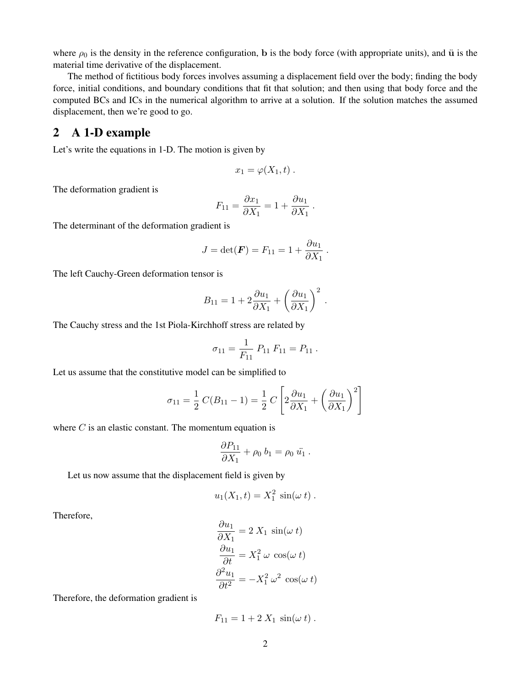where  $\rho_0$  is the density in the reference configuration, b is the body force (with appropriate units), and u is the material time derivative of the displacement.

The method of fictitious body forces involves assuming a displacement field over the body; finding the body force, initial conditions, and boundary conditions that fit that solution; and then using that body force and the computed BCs and ICs in the numerical algorithm to arrive at a solution. If the solution matches the assumed displacement, then we're good to go.

## 2 A 1-D example

Let's write the equations in 1-D. The motion is given by

$$
x_1=\varphi(X_1,t)\ .
$$

The deformation gradient is

$$
F_{11} = \frac{\partial x_1}{\partial X_1} = 1 + \frac{\partial u_1}{\partial X_1}.
$$

The determinant of the deformation gradient is

$$
J = \det(\boldsymbol{F}) = F_{11} = 1 + \frac{\partial u_1}{\partial X_1}.
$$

The left Cauchy-Green deformation tensor is

$$
B_{11} = 1 + 2\frac{\partial u_1}{\partial X_1} + \left(\frac{\partial u_1}{\partial X_1}\right)^2.
$$

The Cauchy stress and the 1st Piola-Kirchhoff stress are related by

$$
\sigma_{11} = \frac{1}{F_{11}} P_{11} F_{11} = P_{11}.
$$

Let us assume that the constitutive model can be simplified to

$$
\sigma_{11} = \frac{1}{2} C(B_{11} - 1) = \frac{1}{2} C \left[ 2 \frac{\partial u_1}{\partial X_1} + \left( \frac{\partial u_1}{\partial X_1} \right)^2 \right]
$$

where  $C$  is an elastic constant. The momentum equation is

$$
\frac{\partial P_{11}}{\partial X_1} + \rho_0 b_1 = \rho_0 \ddot{u_1}.
$$

Let us now assume that the displacement field is given by

$$
u_1(X_1,t) = X_1^2 \sin(\omega t)
$$
.

Therefore,

$$
\frac{\partial u_1}{\partial X_1} = 2 X_1 \sin(\omega t)
$$

$$
\frac{\partial u_1}{\partial t} = X_1^2 \omega \cos(\omega t)
$$

$$
\frac{\partial^2 u_1}{\partial t^2} = -X_1^2 \omega^2 \cos(\omega t)
$$

Therefore, the deformation gradient is

$$
F_{11} = 1 + 2 X_1 \sin(\omega t).
$$